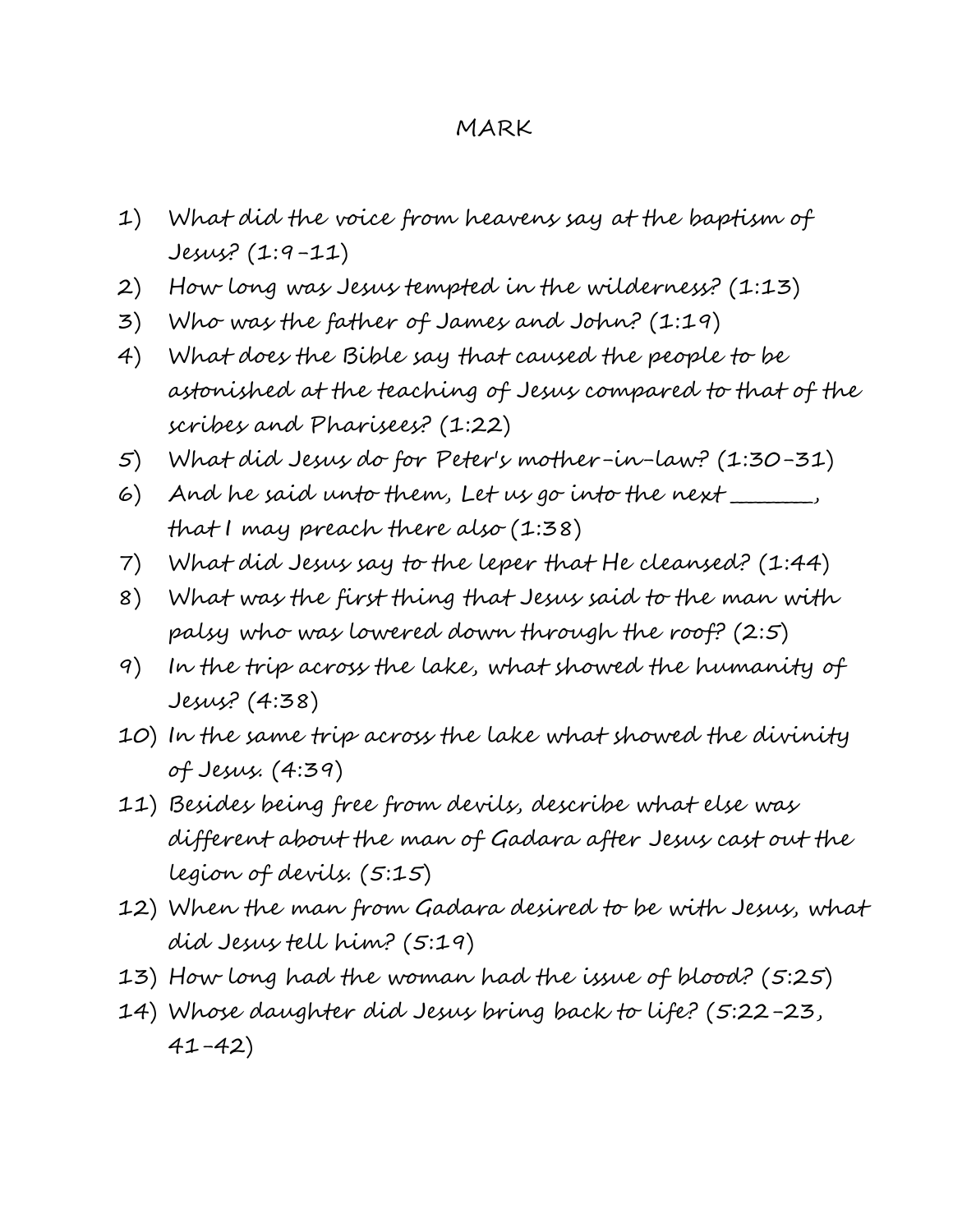#### MARK

- 1) What did the voice from heavens say at the baptism of Jesus? (1:9-11)
- 2) How long was Jesus tempted in the wilderness? (1:13)
- 3) Who was the father of James and John? (1:19)
- 4) What does the Bible say that caused the people to be astonished at the teaching of Jesus compared to that of the scribes and Pharisees? (1:22)
- 5) What did Jesus do for Peter's mother-in-law? (1:30-31)
- 6) And he said unto them, Let us go into the next  $\_$ that I may preach there also (1:38)
- 7) What did Jesus say to the leper that He cleansed? (1:44)
- 8) What was the first thing that Jesus said to the man with palsy who was lowered down through the roof? (2:5)
- 9) In the trip across the lake, what showed the humanity of Jesus? (4:38)
- 10) In the same trip across the lake what showed the divinity of Jesus. (4:39)
- 11) Besides being free from devils, describe what else was different about the man of Gadara after Jesus cast out the legion of devils. (5:15)
- 12) When the man from Gadara desired to be with Jesus, what did Jesus tell him? (5:19)
- 13) How long had the woman had the issue of blood? (5:25)
- 14) Whose daughter did Jesus bring back to life? (5:22-23, 41-42)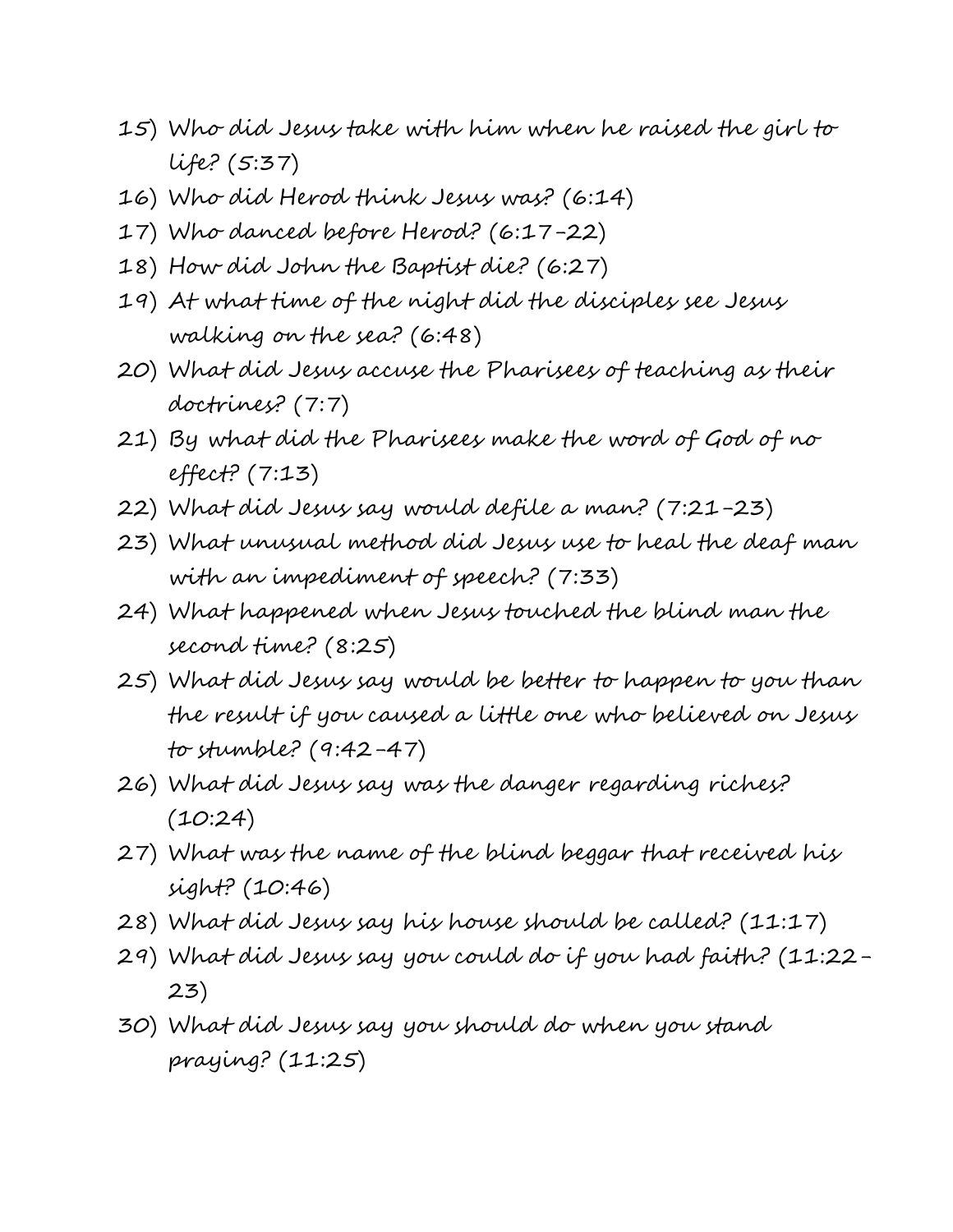- 15) Who did Jesus take with him when he raised the girl to life? (5:37)
- 16) Who did Herod think Jesus was? (6:14)
- 17) Who danced before Herod? (6:17-22)
- 18) How did John the Baptist die? (6:27)
- 19) At what time of the night did the disciples see Jesus walking on the sea? (6:48)
- 20) What did Jesus accuse the Pharisees of teaching as their doctrines? (7:7)
- 21) By what did the Pharisees make the word of God of no effect? (7:13)
- 22) What did Jesus say would defile a man? (7:21-23)
- 23) What unusual method did Jesus use to heal the deaf man with an impediment of speech? (7:33)
- 24) What happened when Jesus touched the blind man the second time? (8:25)
- 25) What did Jesus say would be better to happen to you than the result if you caused a little one who believed on Jesus to stumble? (9:42-47)
- 26) What did Jesus say was the danger regarding riches?  $(10:24)$
- 27) What was the name of the blind beggar that received his sight? (10:46)
- 28) What did Jesus say his house should be called? (11:17)
- 29) What did Jesus say you could do if you had faith? (11:22- 23)
- 30) What did Jesus say you should do when you stand praying? (11:25)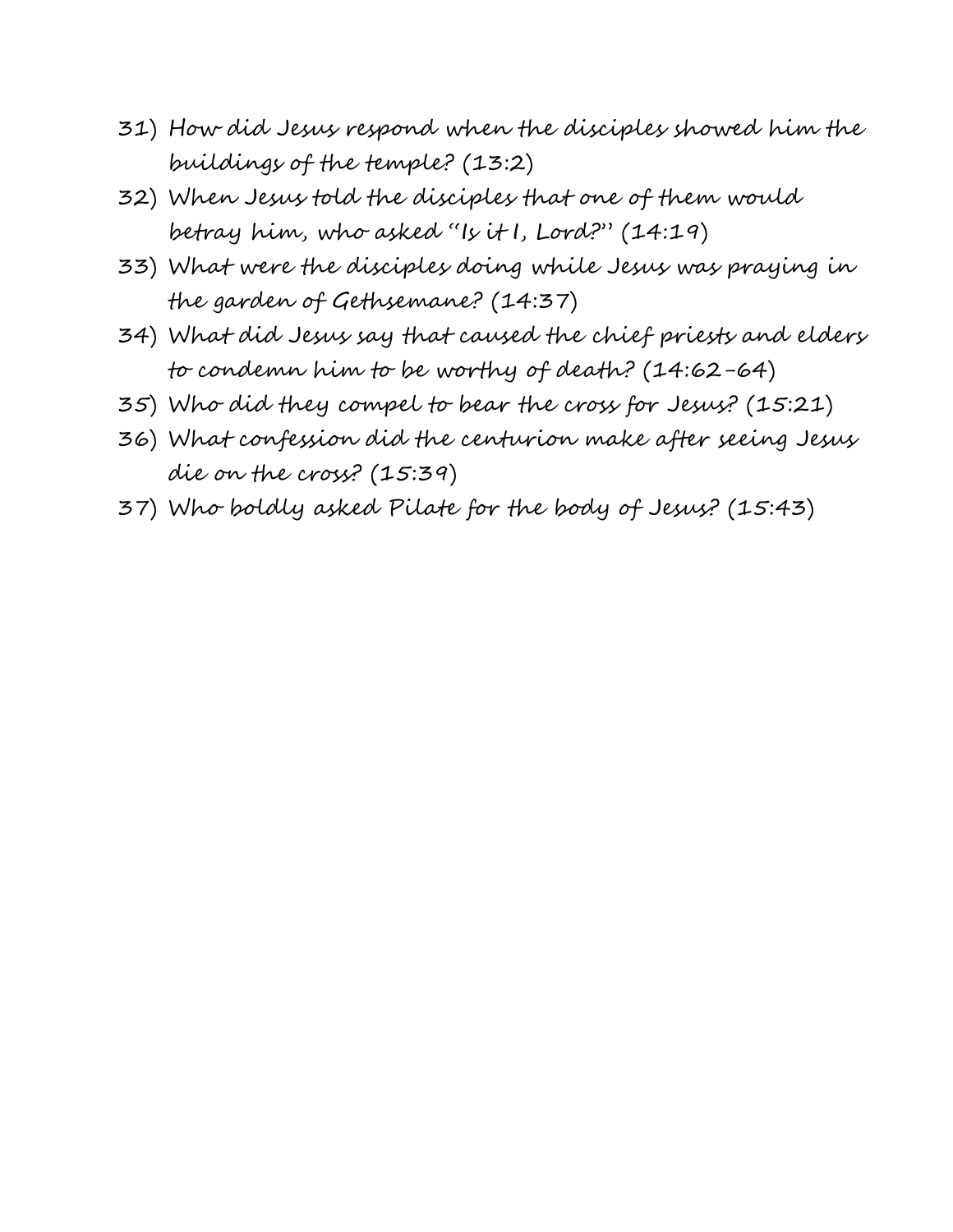- 31) How did Jesus respond when the disciples showed him the buildings of the temple? (13:2)
- 32) When Jesus told the disciples that one of them would betray him, who asked "Is it I, Lord?" (14:19)
- 33) What were the disciples doing while Jesus was praying in the garden of Gethsemane? (14:37)
- 34) What did Jesus say that caused the chief priests and elders to condemn him to be worthy of death? (14:62-64)
- 35) Who did they compel to bear the cross for Jesus? (15:21)
- 36) What confession did the centurion make after seeing Jesus die on the cross? (15:39)
- 37) Who boldly asked Pilate for the body of Jesus? (15:43)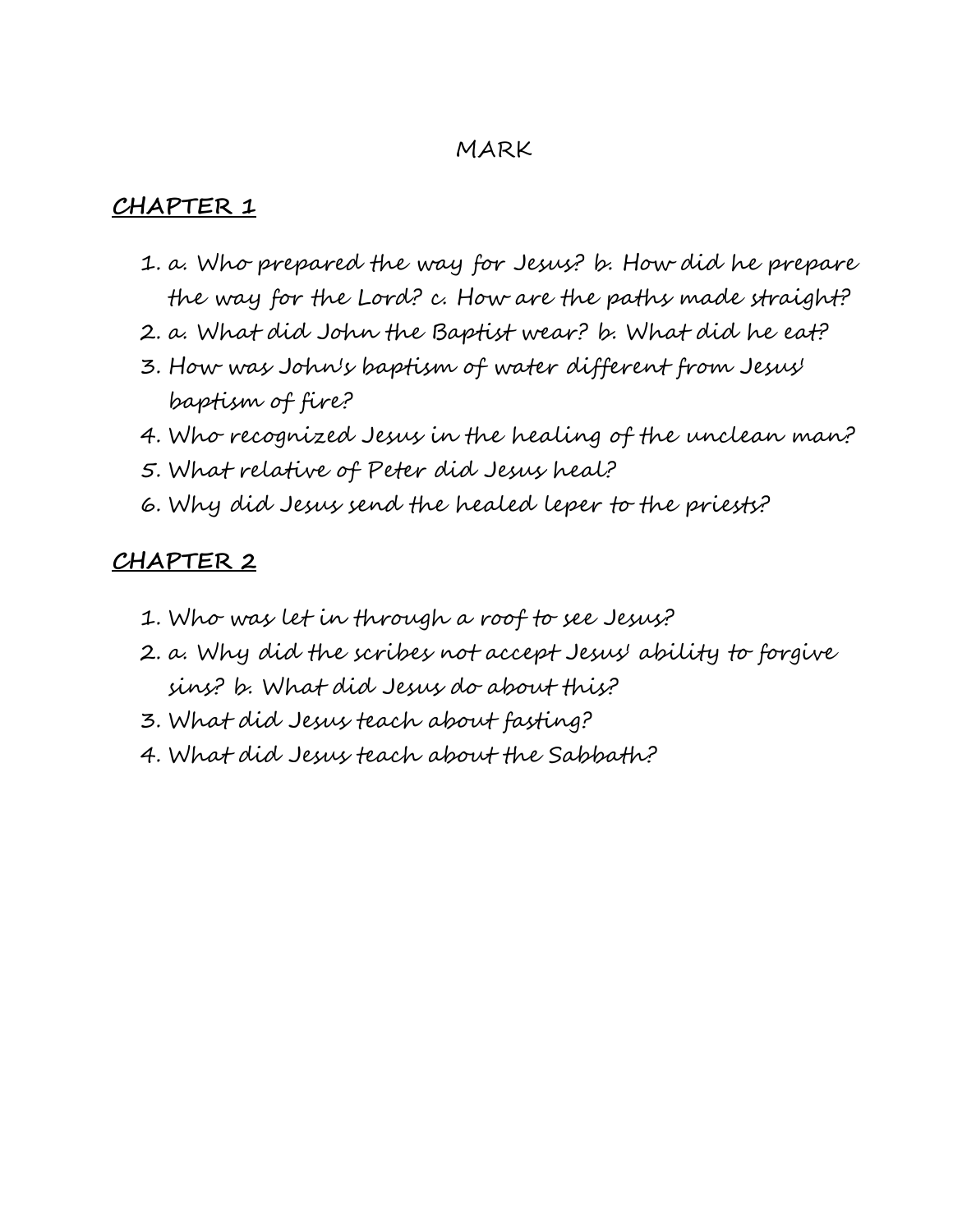#### MARK

#### **CHAPTER 1**

- 1. a. Who prepared the way for Jesus? b. How did he prepare the way for the Lord? c. How are the paths made straight?
- 2. a. What did John the Baptist wear? b. What did he eat?
- 3. How was John's baptism of water different from Jesus' baptism of fire?
- 4. Who recognized Jesus in the healing of the unclean man?
- 5. What relative of Peter did Jesus heal?
- 6. Why did Jesus send the healed leper to the priests?

- 1. Who was let in through a roof to see Jesus?
- 2. a. Why did the scribes not accept Jesus' ability to forgive sins? b. What did Jesus do about this?
- 3. What did Jesus teach about fasting?
- 4. What did Jesus teach about the Sabbath?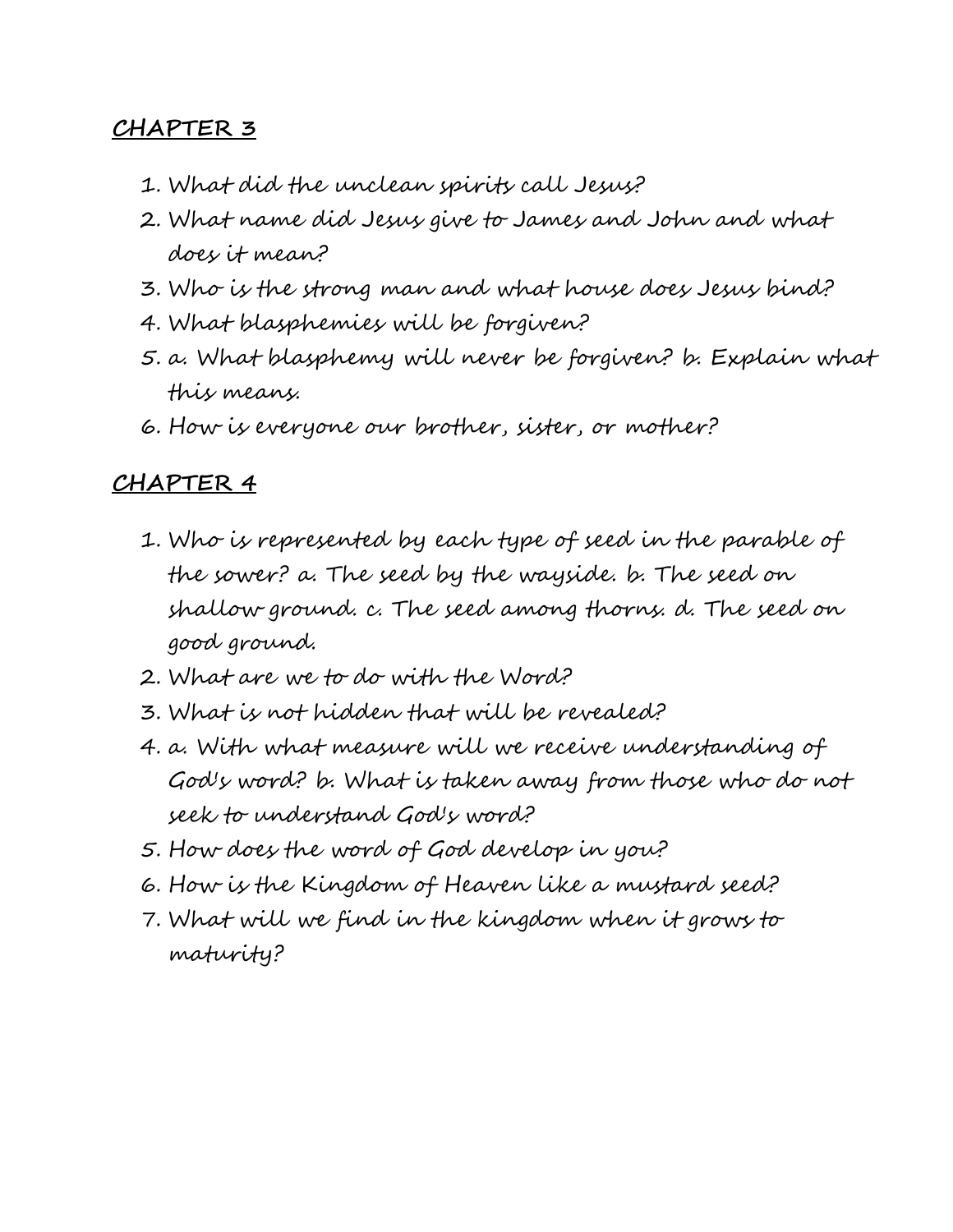- 1. What did the unclean spirits call Jesus?
- 2. What name did Jesus give to James and John and what does it mean?
- 3. Who is the strong man and what house does Jesus bind?
- 4. What blasphemies will be forgiven?
- 5. a. What blasphemy will never be forgiven? b. Explain what this means.
- 6. How is everyone our brother, sister, or mother?

- 1. Who is represented by each type of seed in the parable of the sower? a. The seed by the wayside. b. The seed on shallow ground. c. The seed among thorns. d. The seed on good ground.
- 2. What are we to do with the Word?
- 3. What is not hidden that will be revealed?
- 4. a. With what measure will we receive understanding of God's word? b. What is taken away from those who do not seek to understand God's word?
- 5. How does the word of God develop in you?
- 6. How is the Kingdom of Heaven like a mustard seed?
- 7. What will we find in the kingdom when it grows to maturity?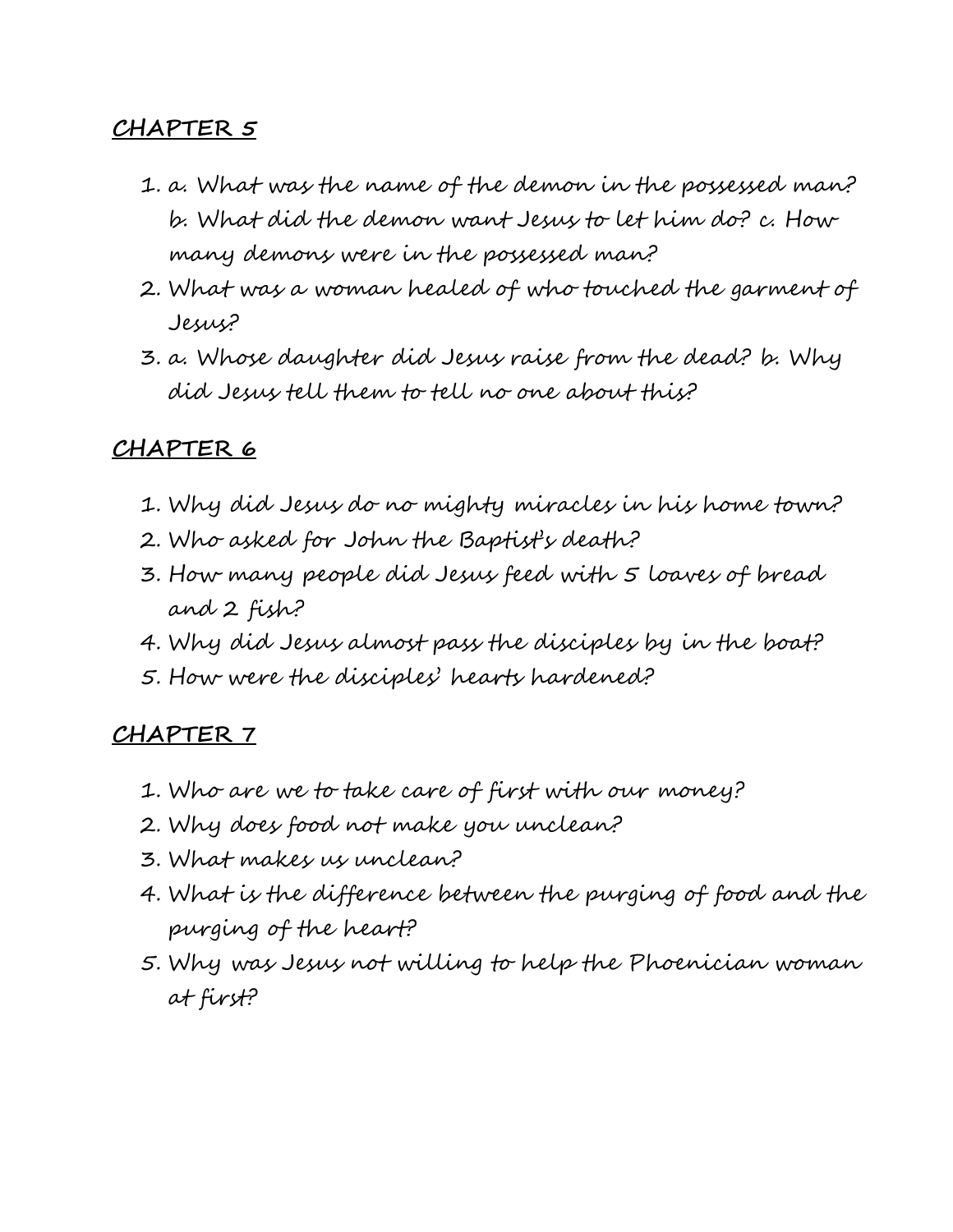- 1. a. What was the name of the demon in the possessed man? b. What did the demon want Jesus to let him do? c. How many demons were in the possessed man?
- 2. What was a woman healed of who touched the garment of Jesus?
- 3. a. Whose daughter did Jesus raise from the dead? b. Why did Jesus tell them to tell no one about this?

## **CHAPTER 6**

- 1. Why did Jesus do no mighty miracles in his home town?
- 2. Who asked for John the Baptist's death?
- 3. How many people did Jesus feed with 5 loaves of bread and 2 fish?
- 4. Why did Jesus almost pass the disciples by in the boat?
- 5. How were the disciples' hearts hardened?

- 1. Who are we to take care of first with our money?
- 2. Why does food not make you unclean?
- 3. What makes us unclean?
- 4. What is the difference between the purging of food and the purging of the heart?
- 5. Why was Jesus not willing to help the Phoenician woman at first?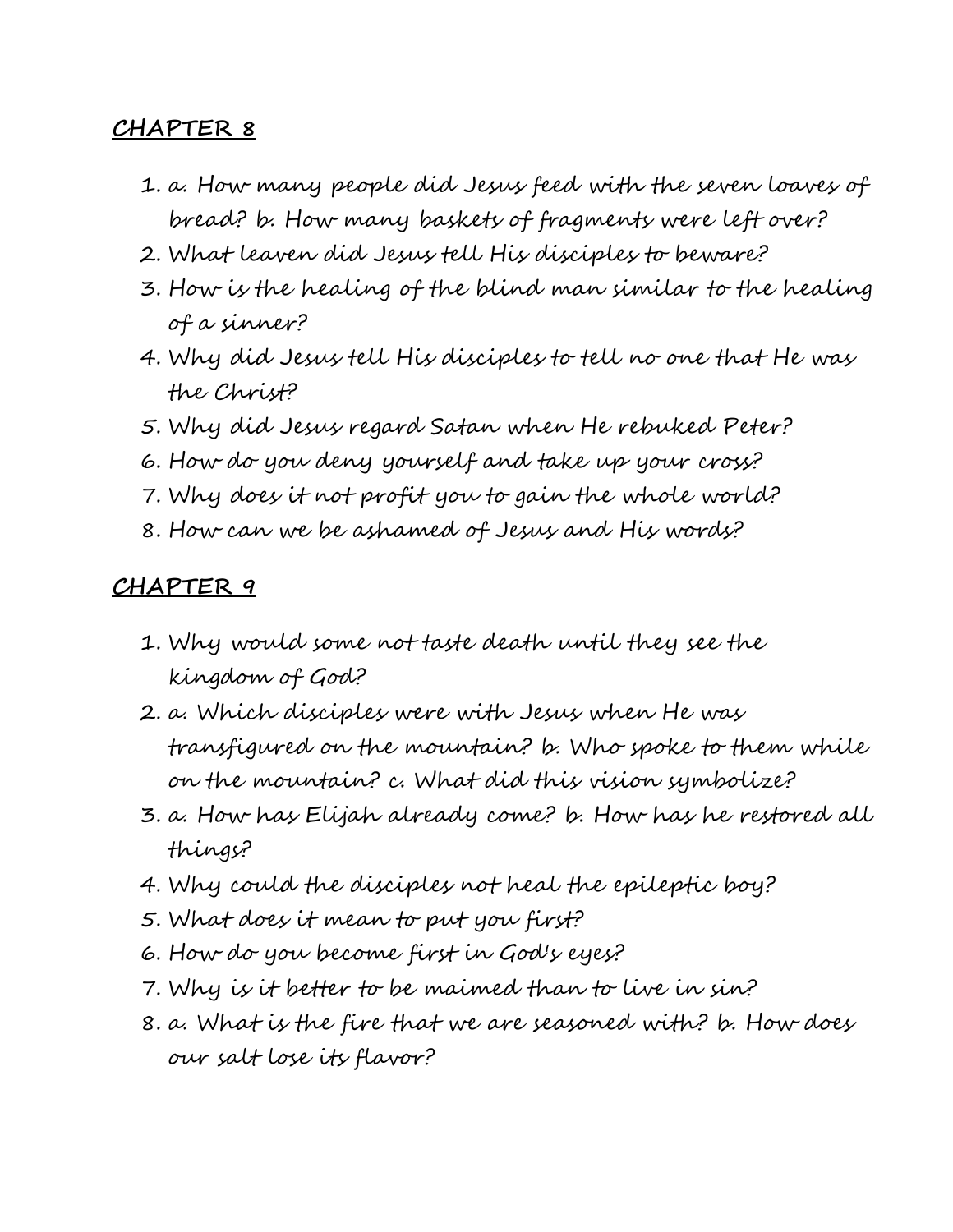- 1. a. How many people did Jesus feed with the seven loaves of bread? b. How many baskets of fragments were left over?
- 2. What leaven did Jesus tell His disciples to beware?
- 3. How is the healing of the blind man similar to the healing of a sinner?
- 4. Why did Jesus tell His disciples to tell no one that He was the Christ?
- 5. Why did Jesus regard Satan when He rebuked Peter?
- 6. How do you deny yourself and take up your cross?
- 7. Why does it not profit you to gain the whole world?
- 8. How can we be ashamed of Jesus and His words?

- 1. Why would some not taste death until they see the kingdom of God?
- 2. a. Which disciples were with Jesus when He was transfigured on the mountain? b. Who spoke to them while on the mountain? c. What did this vision symbolize?
- 3. a. How has Elijah already come? b. How has he restored all things?
- 4. Why could the disciples not heal the epileptic boy?
- 5. What does it mean to put you first?
- 6. How do you become first in God's eyes?
- 7. Why is it better to be maimed than to live in sin?
- 8. a. What is the fire that we are seasoned with? b. How does our salt lose its flavor?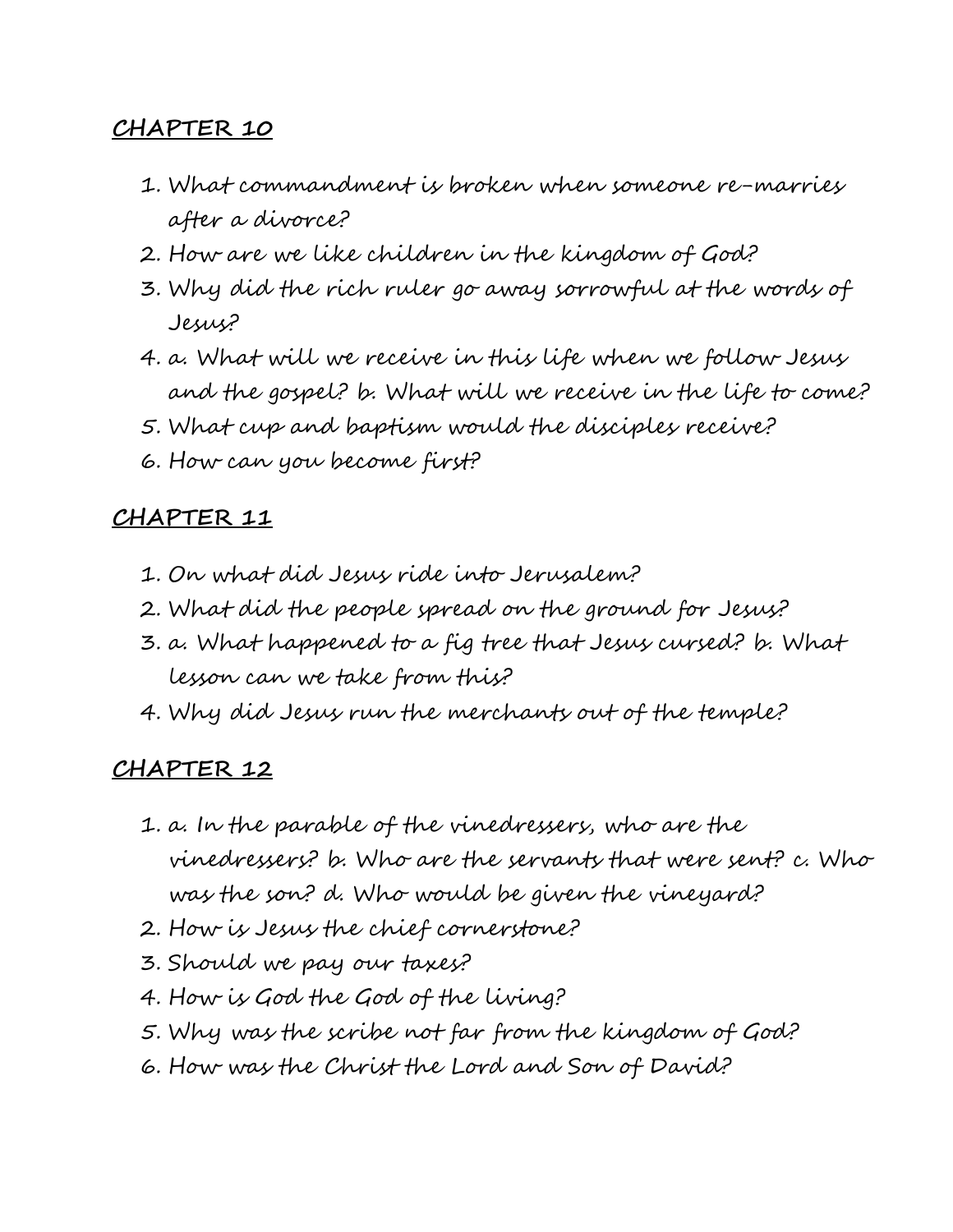- 1. What commandment is broken when someone re-marries after a divorce?
- 2. How are we like children in the kingdom of God?
- 3. Why did the rich ruler go away sorrowful at the words of Jesus?
- 4. a. What will we receive in this life when we follow Jesus and the gospel? b. What will we receive in the life to come?
- 5. What cup and baptism would the disciples receive?
- 6. How can you become first?

## **CHAPTER 11**

- 1. On what did Jesus ride into Jerusalem?
- 2. What did the people spread on the ground for Jesus?
- 3. a. What happened to a fig tree that Jesus cursed? b. What lesson can we take from this?
- 4. Why did Jesus run the merchants out of the temple?

- 1. a. In the parable of the vinedressers, who are the vinedressers? b. Who are the servants that were sent? c. Who was the son? d. Who would be given the vineyard?
- 2. How is Jesus the chief cornerstone?
- 3. Should we pay our taxes?
- 4. How is God the God of the living?
- 5. Why was the scribe not far from the kingdom of God?
- 6. How was the Christ the Lord and Son of David?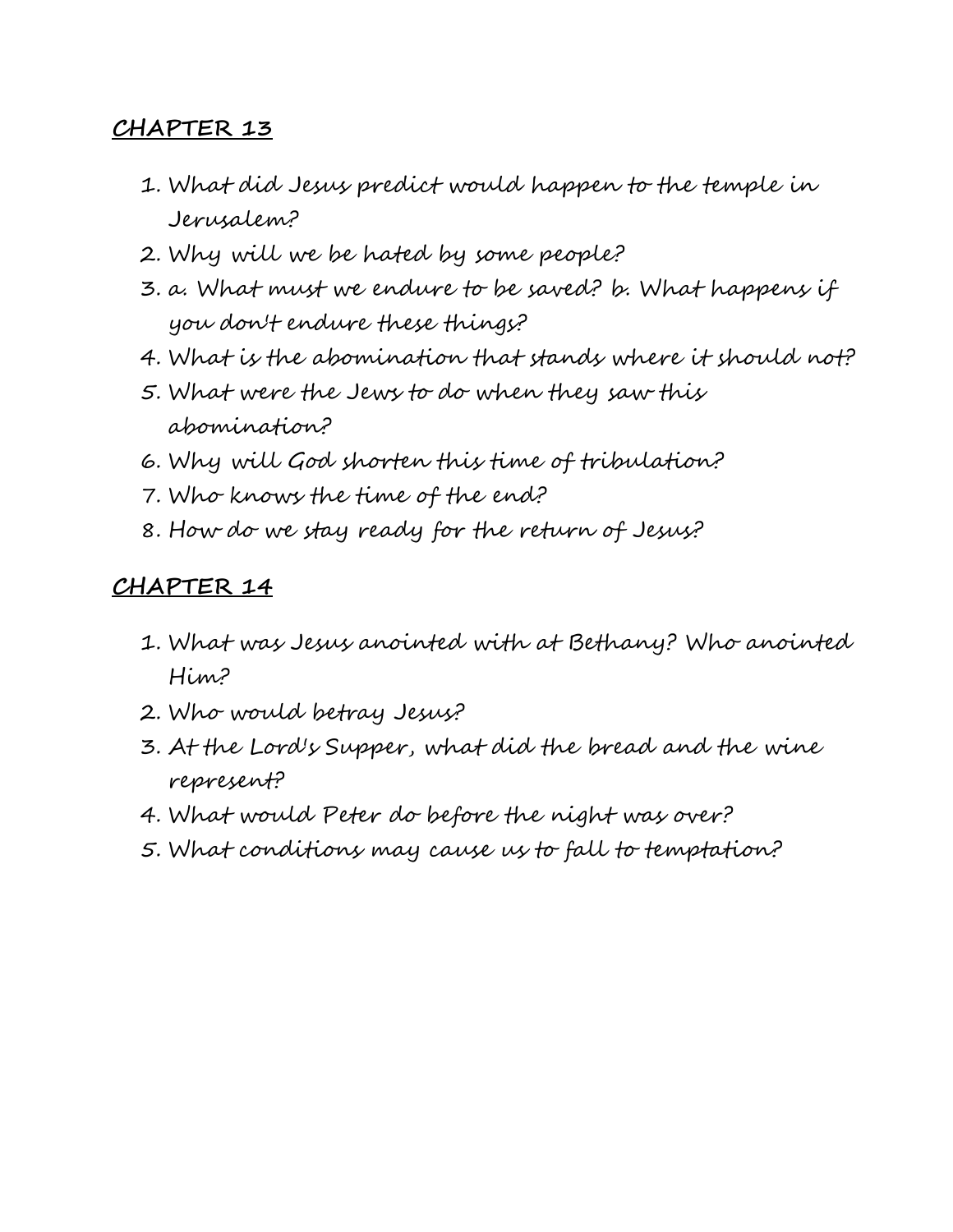- 1. What did Jesus predict would happen to the temple in Jerusalem?
- 2. Why will we be hated by some people?
- 3. a. What must we endure to be saved? b. What happens if you don't endure these things?
- 4. What is the abomination that stands where it should not?
- 5. What were the Jews to do when they saw this abomination?
- 6. Why will God shorten this time of tribulation?
- 7. Who knows the time of the end?
- 8. How do we stay ready for the return of Jesus?

- 1. What was Jesus anointed with at Bethany? Who anointed Him?
- 2. Who would betray Jesus?
- 3. At the Lord's Supper, what did the bread and the wine represent?
- 4. What would Peter do before the night was over?
- 5. What conditions may cause us to fall to temptation?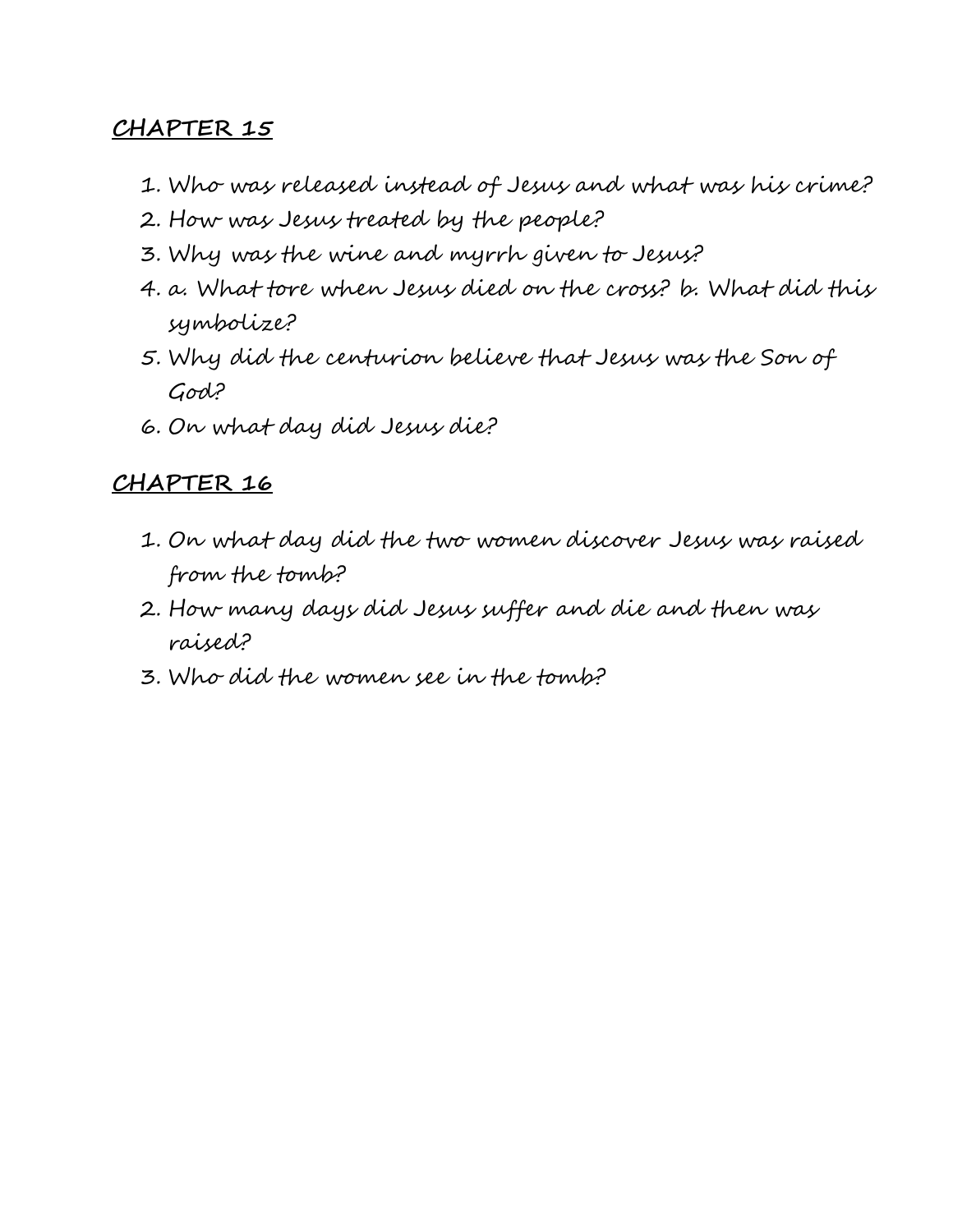- 1. Who was released instead of Jesus and what was his crime?
- 2. How was Jesus treated by the people?
- 3. Why was the wine and myrrh given to Jesus?
- 4. a. What tore when Jesus died on the cross? b. What did this symbolize?
- 5. Why did the centurion believe that Jesus was the Son of God?
- 6. On what day did Jesus die?

- 1. On what day did the two women discover Jesus was raised from the tomb?
- 2. How many days did Jesus suffer and die and then was raised?
- 3. Who did the women see in the tomb?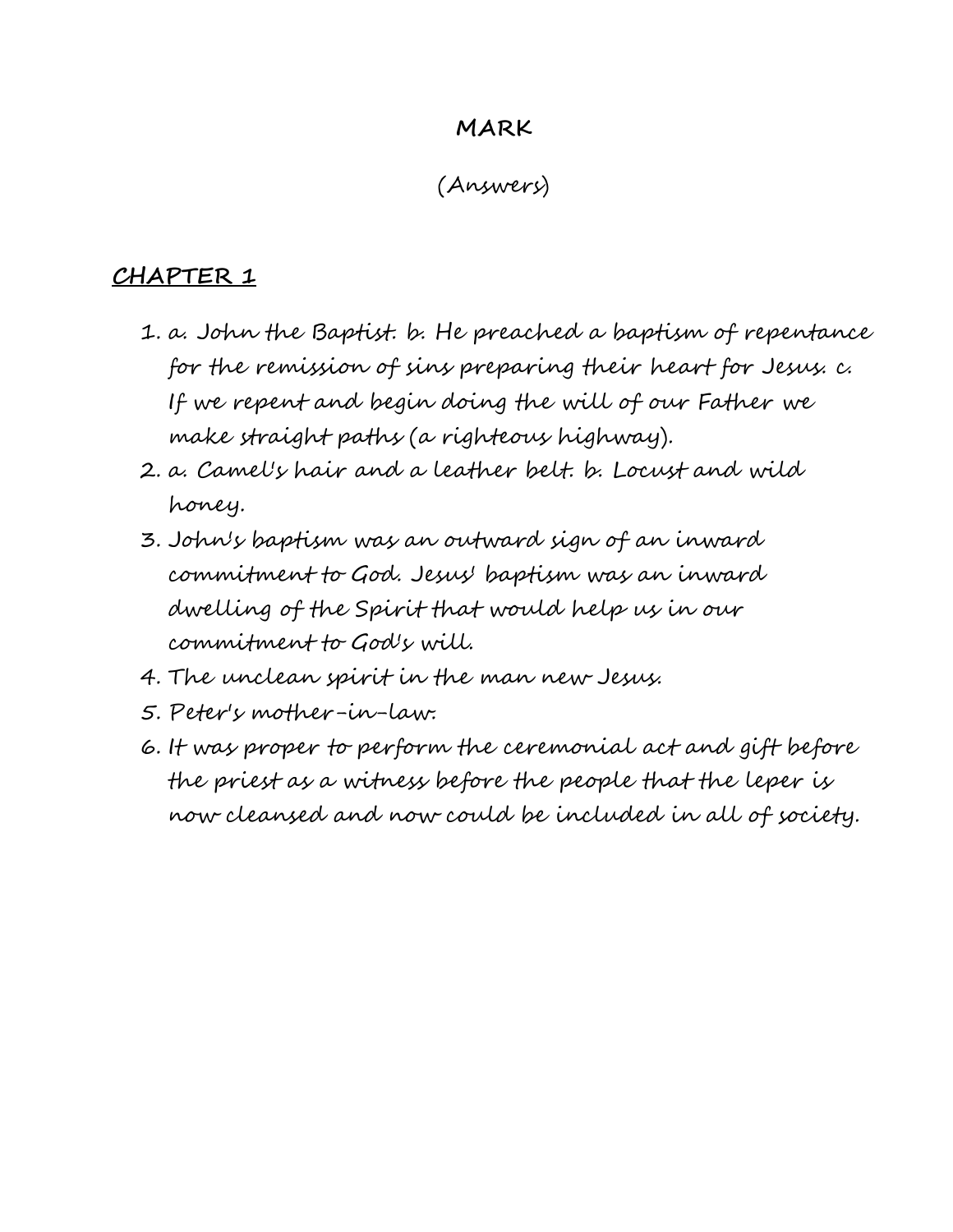#### **MARK**

## (Answers)

- 1. a. John the Baptist. b. He preached a baptism of repentance for the remission of sins preparing their heart for Jesus. c. If we repent and begin doing the will of our Father we make straight paths (a righteous highway).
- 2. a. Camel's hair and a leather belt. b. Locust and wild honey.
- 3. John's baptism was an outward sign of an inward commitment to God. Jesus' baptism was an inward dwelling of the Spirit that would help us in our commitment to God's will.
- 4. The unclean spirit in the man new Jesus.
- 5. Peter's mother-in-law.
- 6. It was proper to perform the ceremonial act and gift before the priest as a witness before the people that the leper is now cleansed and now could be included in all of society.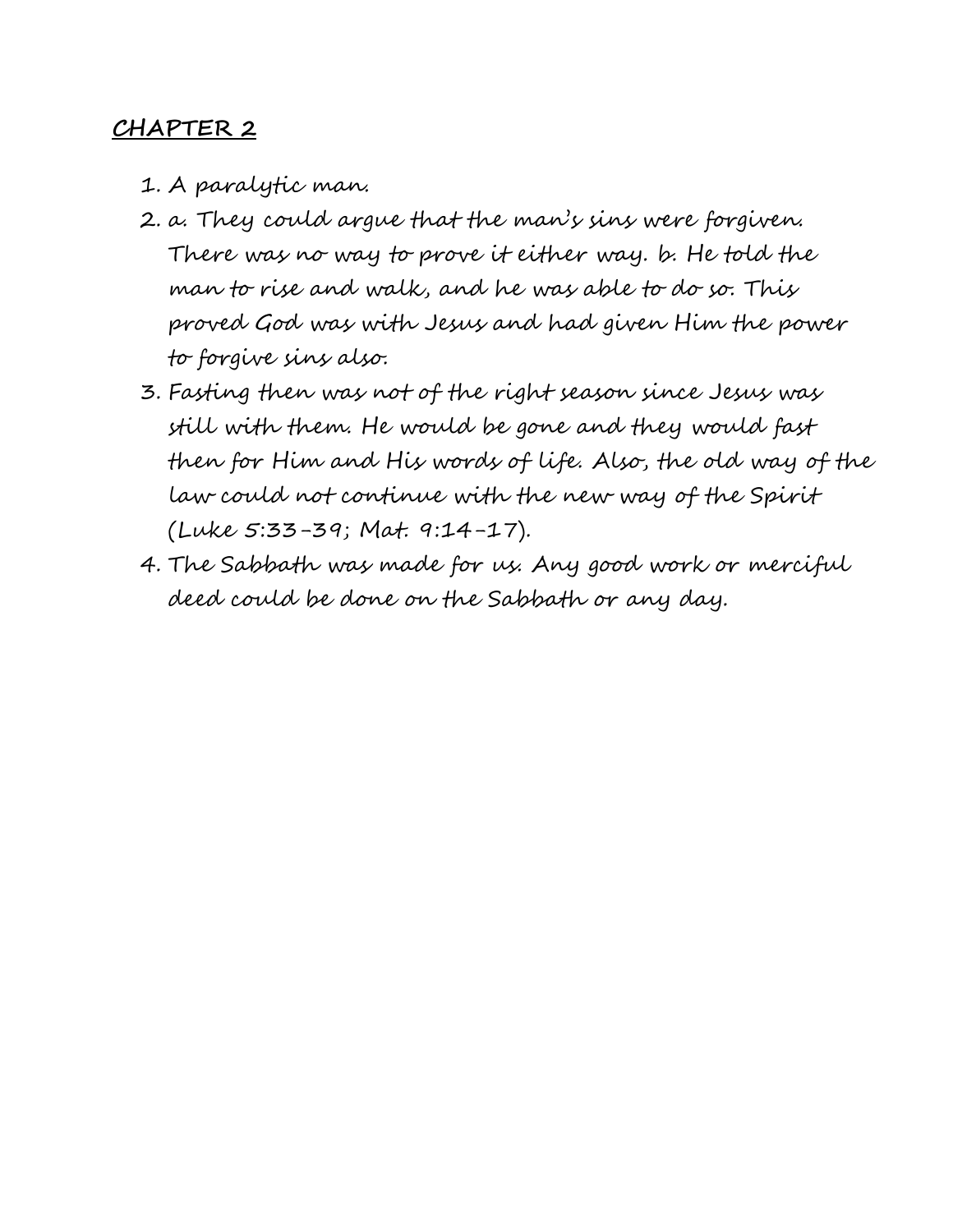- 1. A paralytic man.
- 2. a. They could argue that the man's sins were forgiven. There was no way to prove it either way. b. He told the man to rise and walk, and he was able to do so. This proved God was with Jesus and had given Him the power to forgive sins also.
- 3. Fasting then was not of the right season since Jesus was still with them. He would be gone and they would fast then for Him and His words of life. Also, the old way of the law could not continue with the new way of the Spirit (Luke 5:33-39; Mat. 9:14-17).
- 4. The Sabbath was made for us. Any good work or merciful deed could be done on the Sabbath or any day.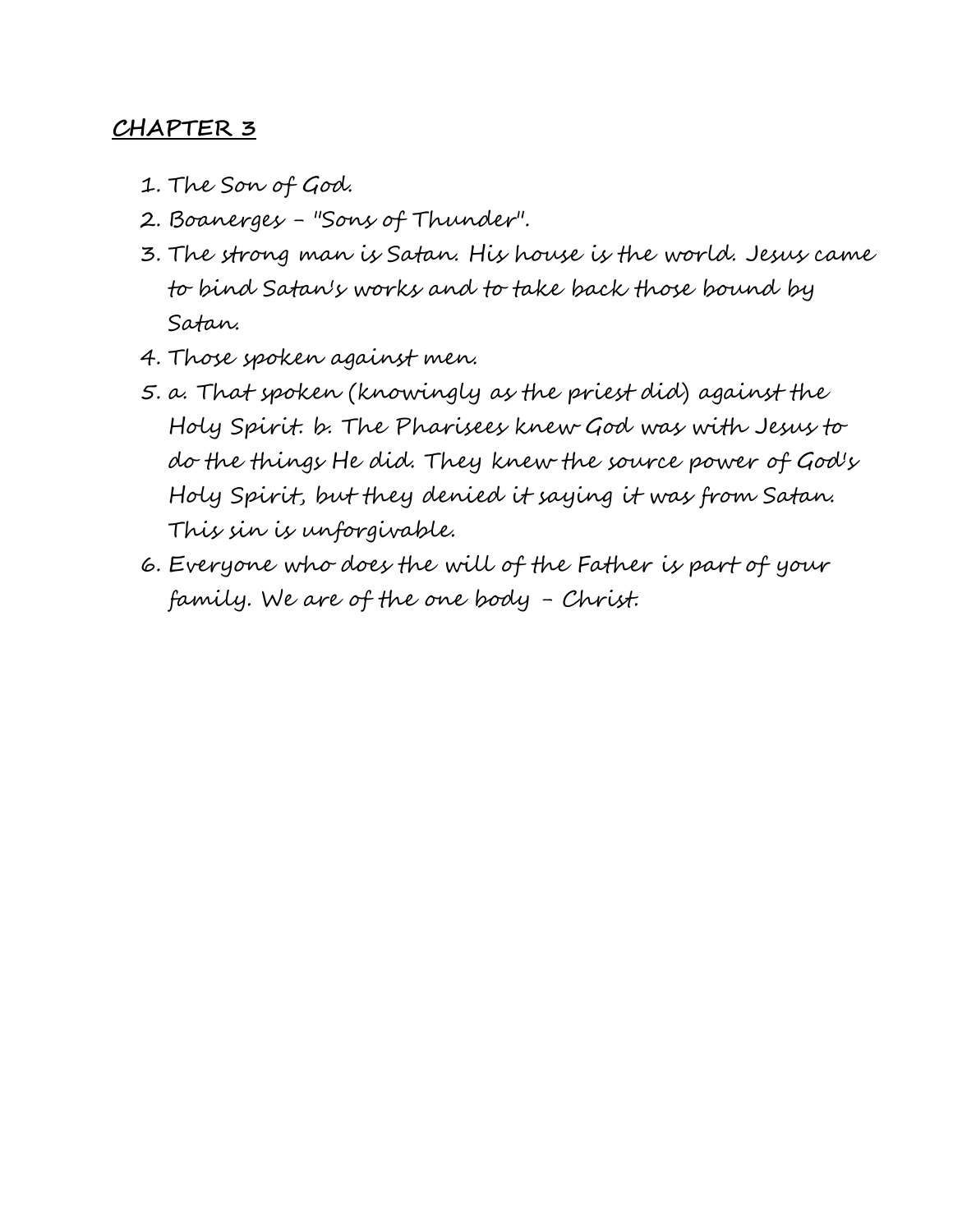- 1. The Son of God.
- 2. Boanerges "Sons of Thunder".
- 3. The strong man is Satan. His house is the world. Jesus came to bind Satan's works and to take back those bound by Satan.
- 4. Those spoken against men.
- 5. a. That spoken (knowingly as the priest did) against the Holy Spirit. b. The Pharisees knew God was with Jesus to do the things He did. They knew the source power of God's Holy Spirit, but they denied it saying it was from Satan. This sin is unforgivable.
- 6. Everyone who does the will of the Father is part of your family. We are of the one body - Christ.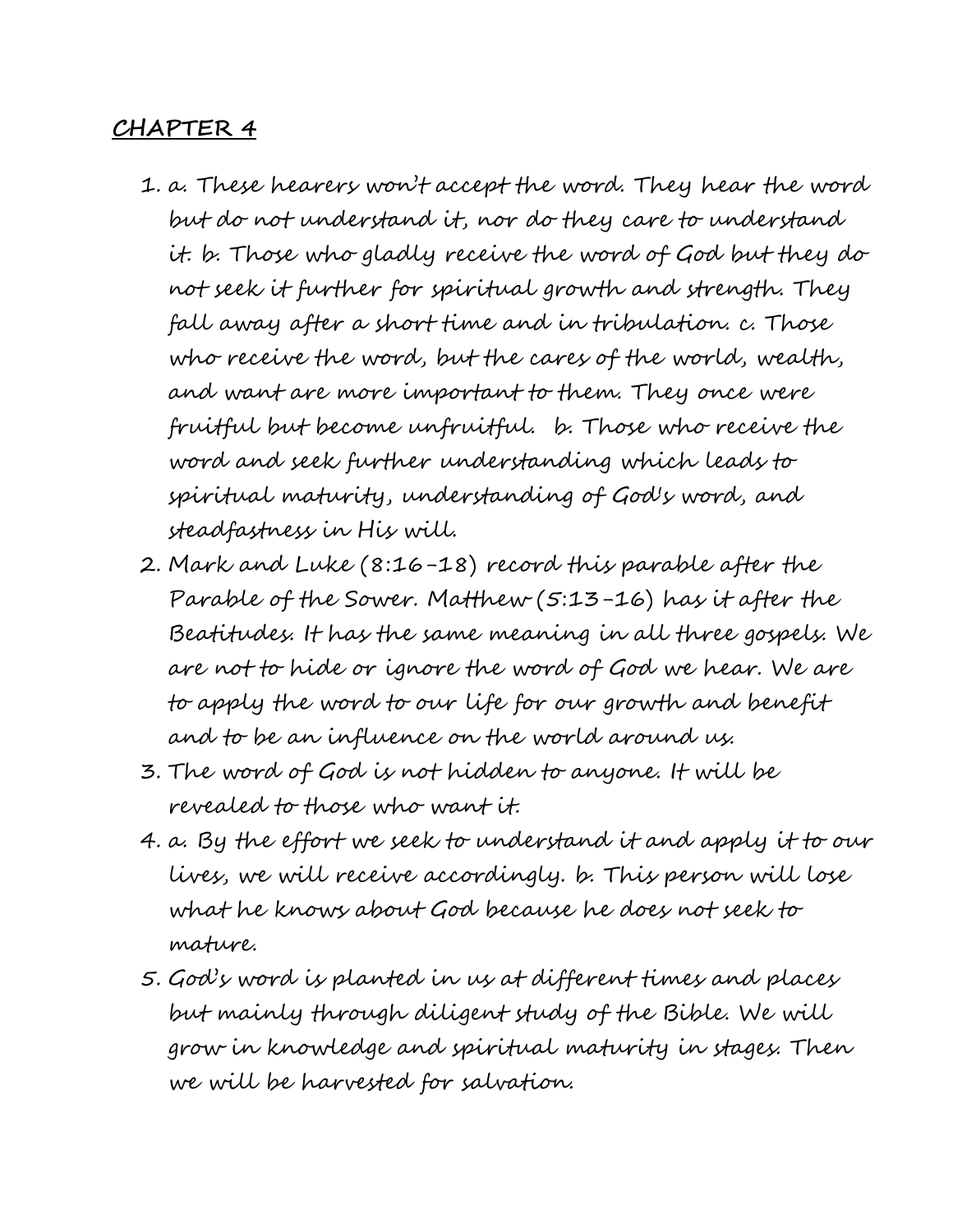- 1. a. These hearers won't accept the word. They hear the word but do not understand it, nor do they care to understand it. b. Those who gladly receive the word of God but they do not seek it further for spiritual growth and strength. They fall away after a short time and in tribulation. c. Those who receive the word, but the cares of the world, wealth, and want are more important to them. They once were fruitful but become unfruitful. b. Those who receive the word and seek further understanding which leads to spiritual maturity, understanding of God's word, and steadfastness in His will.
- 2. Mark and Luke (8:16-18) record this parable after the Parable of the Sower. Matthew (5:13-16) has it after the Beatitudes. It has the same meaning in all three gospels. We are not to hide or ignore the word of God we hear. We are to apply the word to our life for our growth and benefit and to be an influence on the world around us.
- 3. The word of God is not hidden to anyone. It will be revealed to those who want it.
- 4. a. By the effort we seek to understand it and apply it to our lives, we will receive accordingly. b. This person will lose what he knows about God because he does not seek to mature.
- 5. God's word is planted in us at different times and places but mainly through diligent study of the Bible. We will grow in knowledge and spiritual maturity in stages. Then we will be harvested for salvation.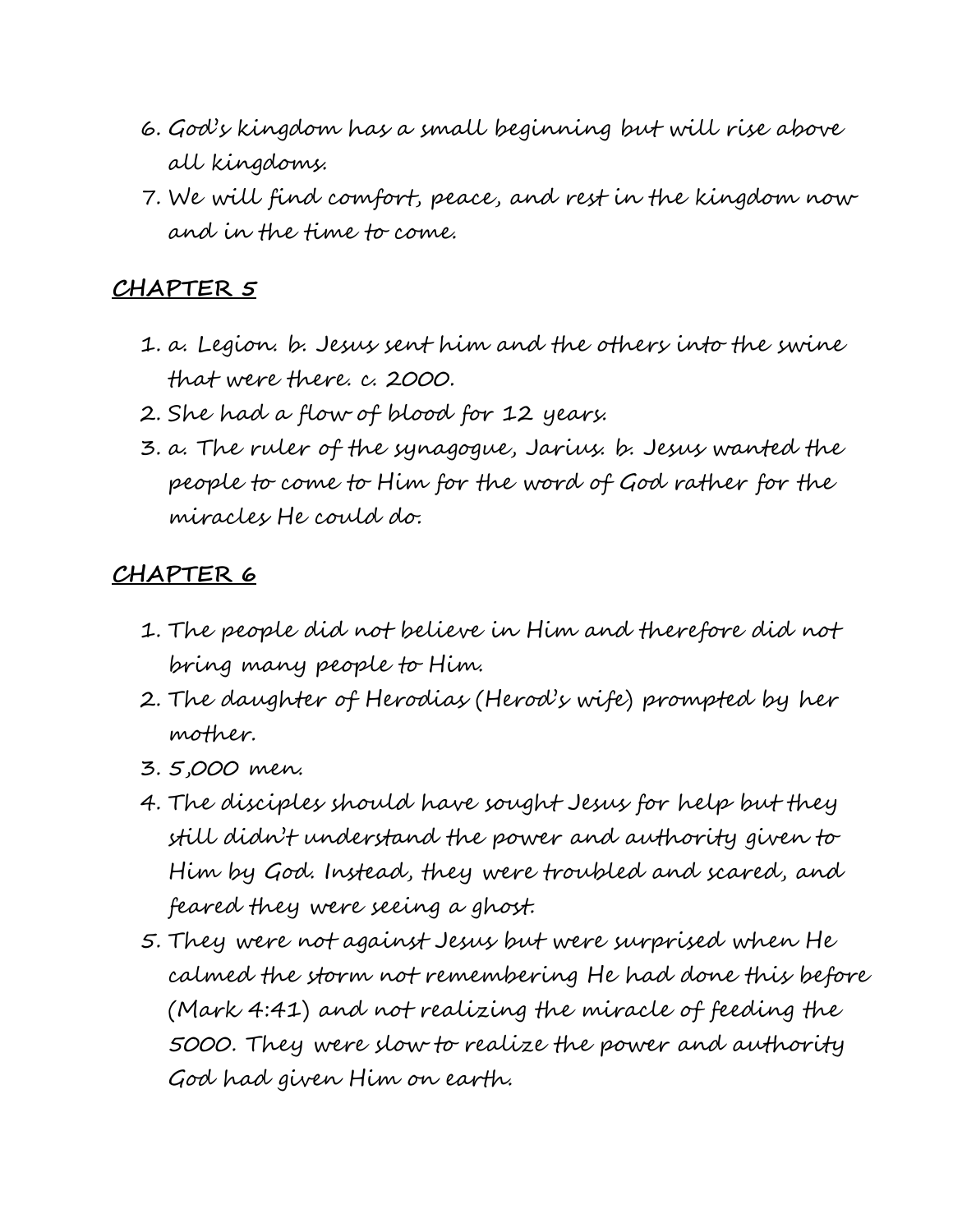- 6. God's kingdom has a small beginning but will rise above all kingdoms.
- 7. We will find comfort, peace, and rest in the kingdom now and in the time to come.

- 1. a. Legion. b. Jesus sent him and the others into the swine that were there. c. 2000.
- 2. She had a flow of blood for 12 years.
- 3. a. The ruler of the synagogue, Jarius. b. Jesus wanted the people to come to Him for the word of God rather for the miracles He could do.

- 1. The people did not believe in Him and therefore did not bring many people to Him.
- 2. The daughter of Herodias (Herod's wife) prompted by her mother.
- 3. 5,000 men.
- 4. The disciples should have sought Jesus for help but they still didn't understand the power and authority given to Him by God. Instead, they were troubled and scared, and feared they were seeing a ghost.
- 5. They were not against Jesus but were surprised when He calmed the storm not remembering He had done this before (Mark 4:41) and not realizing the miracle of feeding the 5000. They were slow to realize the power and authority God had given Him on earth.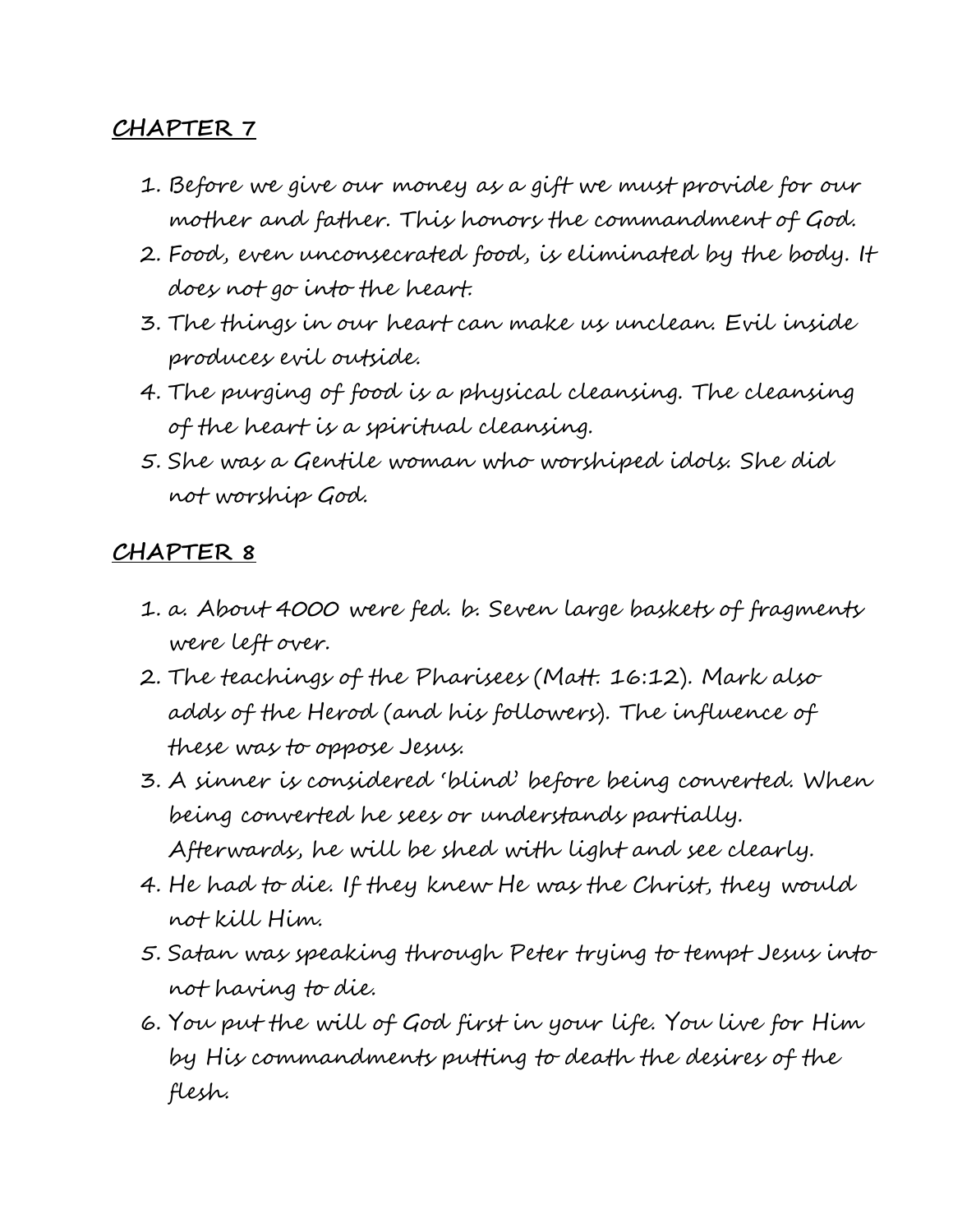- 1. Before we give our money as a gift we must provide for our mother and father. This honors the commandment of God.
- 2. Food, even unconsecrated food, is eliminated by the body. It does not go into the heart.
- 3. The things in our heart can make us unclean. Evil inside produces evil outside.
- 4. The purging of food is a physical cleansing. The cleansing of the heart is a spiritual cleansing.
- 5. She was a Gentile woman who worshiped idols. She did not worship God.

- 1. a. About 4000 were fed. b. Seven large baskets of fragments were left over.
- 2. The teachings of the Pharisees (Matt. 16:12). Mark also adds of the Herod (and his followers). The influence of these was to oppose Jesus.
- 3. A sinner is considered 'blind' before being converted. When being converted he sees or understands partially. Afterwards, he will be shed with light and see clearly.
- 4. He had to die. If they knew He was the Christ, they would not kill Him.
- 5. Satan was speaking through Peter trying to tempt Jesus into not having to die.
- 6. You put the will of God first in your life. You live for Him by His commandments putting to death the desires of the flesh.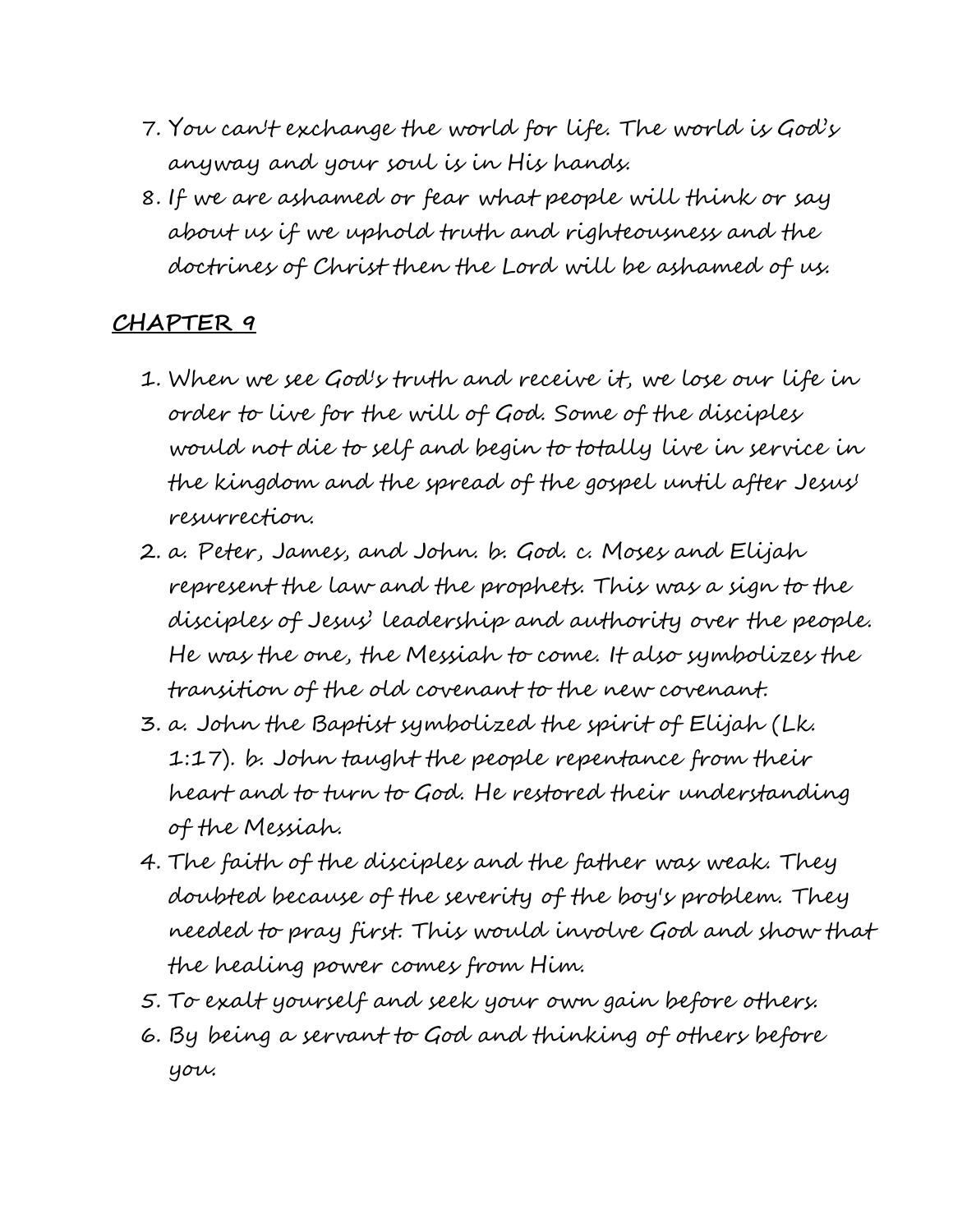- 7. You can't exchange the world for life. The world is God's anyway and your soul is in His hands.
- 8. If we are ashamed or fear what people will think or say about us if we uphold truth and righteousness and the doctrines of Christ then the Lord will be ashamed of us.

- 1. When we see God's truth and receive it, we lose our life in order to live for the will of God. Some of the disciples would not die to self and begin to totally live in service in the kingdom and the spread of the gospel until after Jesus' resurrection.
- 2. a. Peter, James, and John. b. God. c. Moses and Elijah represent the law and the prophets. This was a sign to the disciples of Jesus' leadership and authority over the people. He was the one, the Messiah to come. It also symbolizes the transition of the old covenant to the new covenant.
- 3. a. John the Baptist symbolized the spirit of Elijah (Lk. 1:17). b. John taught the people repentance from their heart and to turn to God. He restored their understanding of the Messiah.
- 4. The faith of the disciples and the father was weak. They doubted because of the severity of the boy's problem. They needed to pray first. This would involve God and show that the healing power comes from Him.
- 5. To exalt yourself and seek your own gain before others.
- 6. By being a servant to God and thinking of others before you.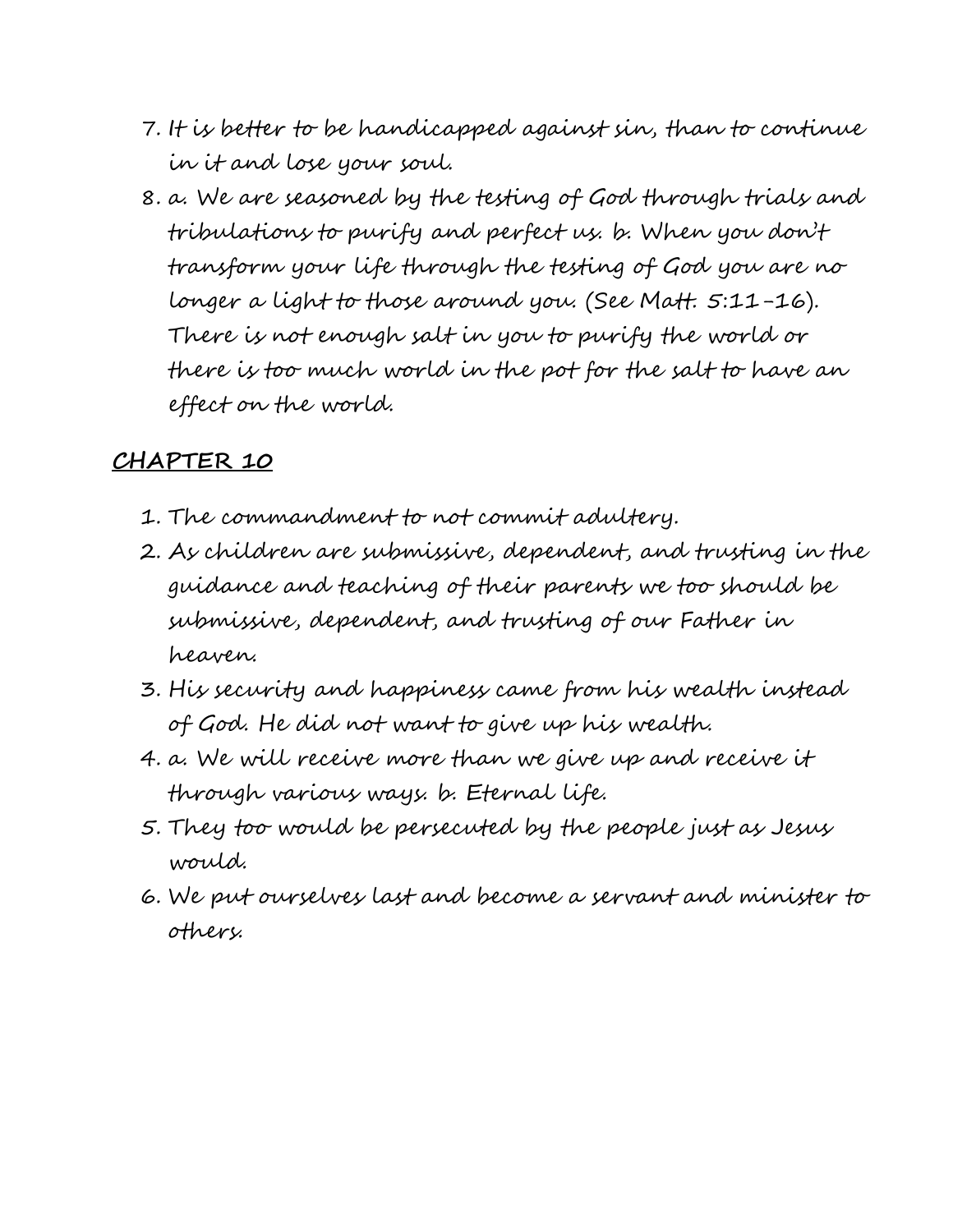- 7. It is better to be handicapped against sin, than to continue in it and lose your soul.
- 8. a. We are seasoned by the testing of God through trials and tribulations to purify and perfect us. b. When you don't transform your life through the testing of God you are no longer a light to those around you. (See Matt. 5:11-16). There is not enough salt in you to purify the world or there is too much world in the pot for the salt to have an effect on the world.

- 1. The commandment to not commit adultery.
- 2. As children are submissive, dependent, and trusting in the guidance and teaching of their parents we too should be submissive, dependent, and trusting of our Father in heaven.
- 3. His security and happiness came from his wealth instead of God. He did not want to give up his wealth.
- 4. a. We will receive more than we give up and receive it through various ways. b. Eternal life.
- 5. They too would be persecuted by the people just as Jesus would.
- 6. We put ourselves last and become a servant and minister to others.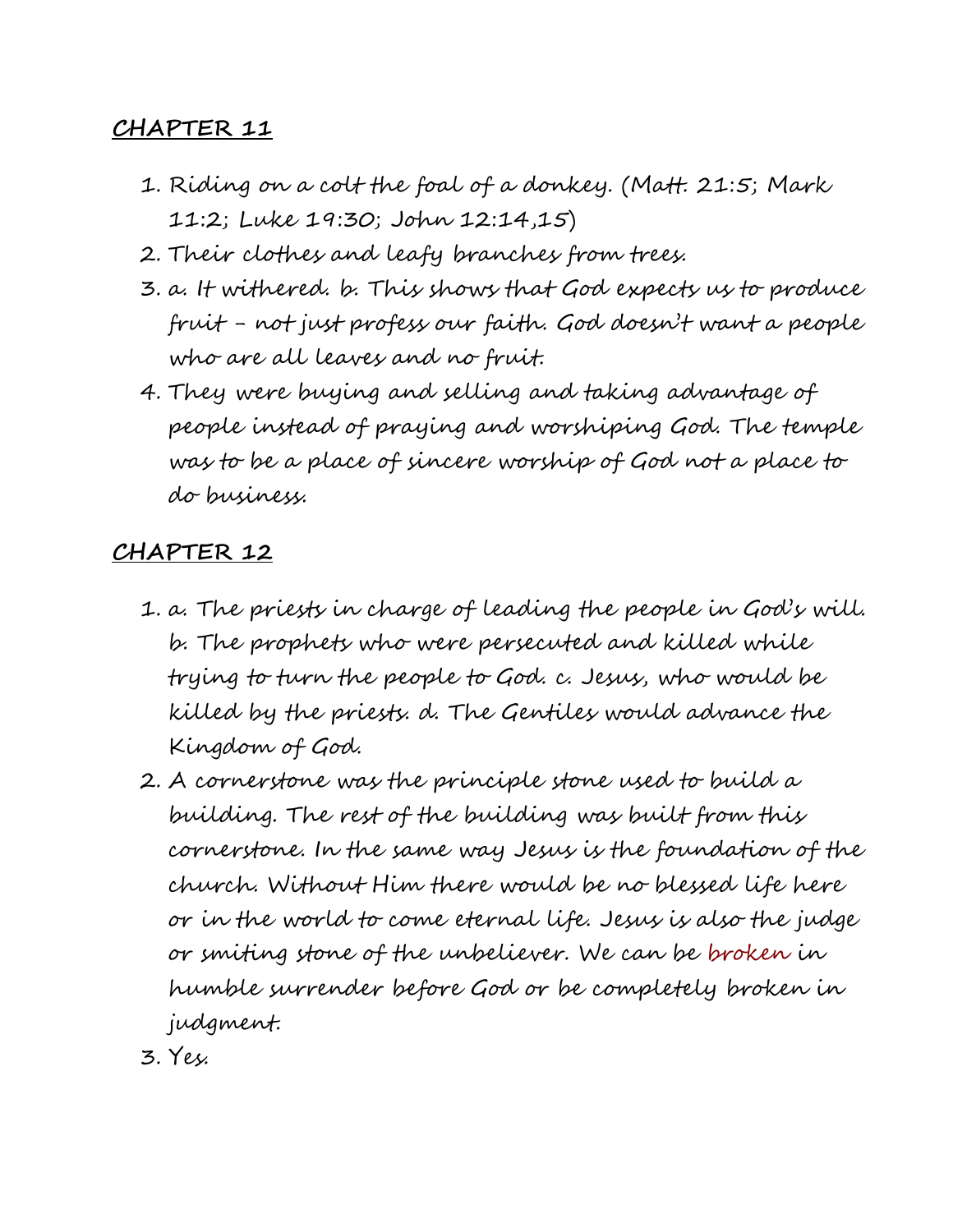- 1. Riding on a colt the foal of a donkey. (Matt. 21:5; Mark 11:2; Luke 19:30; John 12:14,15)
- 2. Their clothes and leafy branches from trees.
- 3. a. It withered. b. This shows that God expects us to produce fruit - not just profess our faith. God doesn't want a people who are all leaves and no fruit.
- 4. They were buying and selling and taking advantage of people instead of praying and worshiping God. The temple was to be a place of sincere worship of God not a place to do business.

- 1. a. The priests in charge of leading the people in God's will. b. The prophets who were persecuted and killed while trying to turn the people to God. c. Jesus, who would be killed by the priests. d. The Gentiles would advance the Kingdom of God.
- 2. A cornerstone was the principle stone used to build a building. The rest of the building was built from this cornerstone. In the same way Jesus is the foundation of the church. Without Him there would be no blessed life here or in the world to come eternal life. Jesus is also the judge or smiting stone of the unbeliever. We can be broken in humble surrender before God or be completely broken in judgment.
- 3. Yes.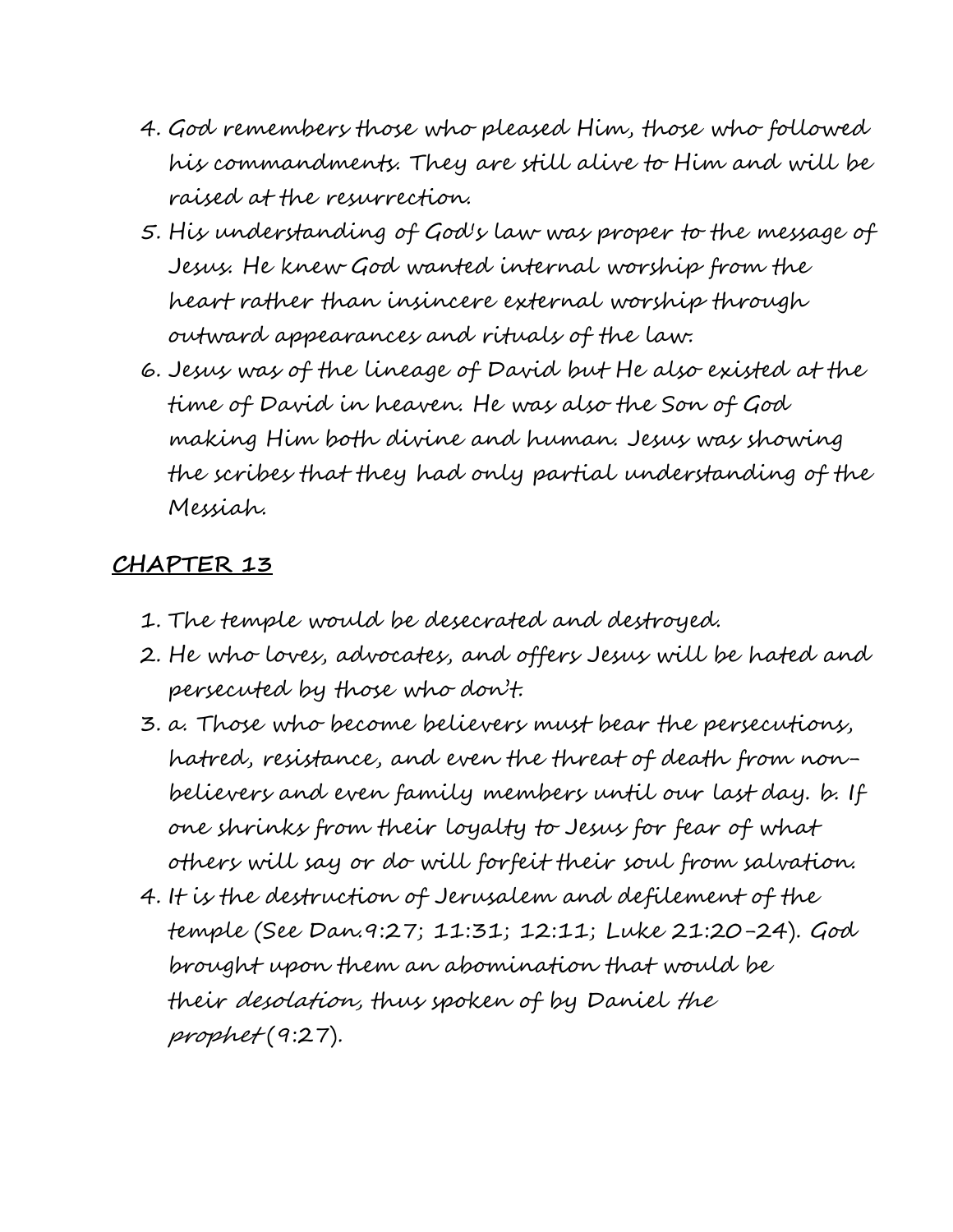- 4. God remembers those who pleased Him, those who followed his commandments. They are still alive to Him and will be raised at the resurrection.
- 5. His understanding of God's law was proper to the message of Jesus. He knew God wanted internal worship from the heart rather than insincere external worship through outward appearances and rituals of the law.
- 6. Jesus was of the lineage of David but He also existed at the time of David in heaven. He was also the Son of God making Him both divine and human. Jesus was showing the scribes that they had only partial understanding of the Messiah.

- 1. The temple would be desecrated and destroyed.
- 2. He who loves, advocates, and offers Jesus will be hated and persecuted by those who don't.
- 3. a. Those who become believers must bear the persecutions, hatred, resistance, and even the threat of death from nonbelievers and even family members until our last day. b. If one shrinks from their loyalty to Jesus for fear of what others will say or do will forfeit their soul from salvation.
- 4. It is the destruction of Jerusalem and defilement of the temple (See Dan.9:27; 11:31; 12:11; Luke 21:20-24). God brought upon them an abomination that would be their desolation, thus spoken of by Daniel the prophet (9:27).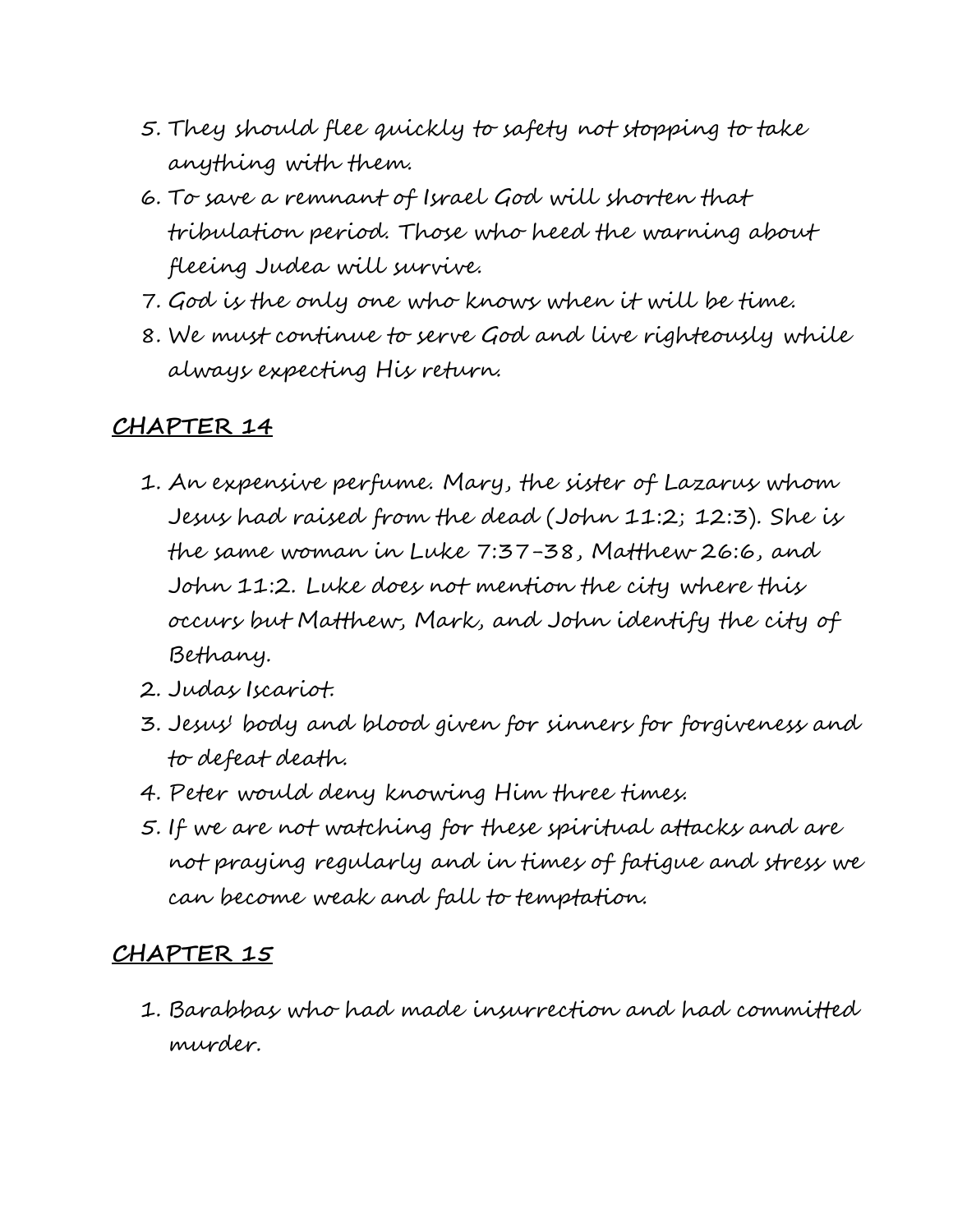- 5. They should flee quickly to safety not stopping to take anything with them.
- 6. To save a remnant of Israel God will shorten that tribulation period. Those who heed the warning about fleeing Judea will survive.
- 7. God is the only one who knows when it will be time.
- 8. We must continue to serve God and live righteously while always expecting His return.

- 1. An expensive perfume. Mary, the sister of Lazarus whom Jesus had raised from the dead (John 11:2; 12:3). She is the same woman in Luke 7:37-38, Matthew 26:6, and John 11:2. Luke does not mention the city where this occurs but Matthew, Mark, and John identify the city of Bethany.
- 2. Judas Iscariot.
- 3. Jesus' body and blood given for sinners for forgiveness and to defeat death.
- 4. Peter would deny knowing Him three times.
- 5. If we are not watching for these spiritual attacks and are not praying regularly and in times of fatigue and stress we can become weak and fall to temptation.

# **CHAPTER 15**

1. Barabbas who had made insurrection and had committed murder.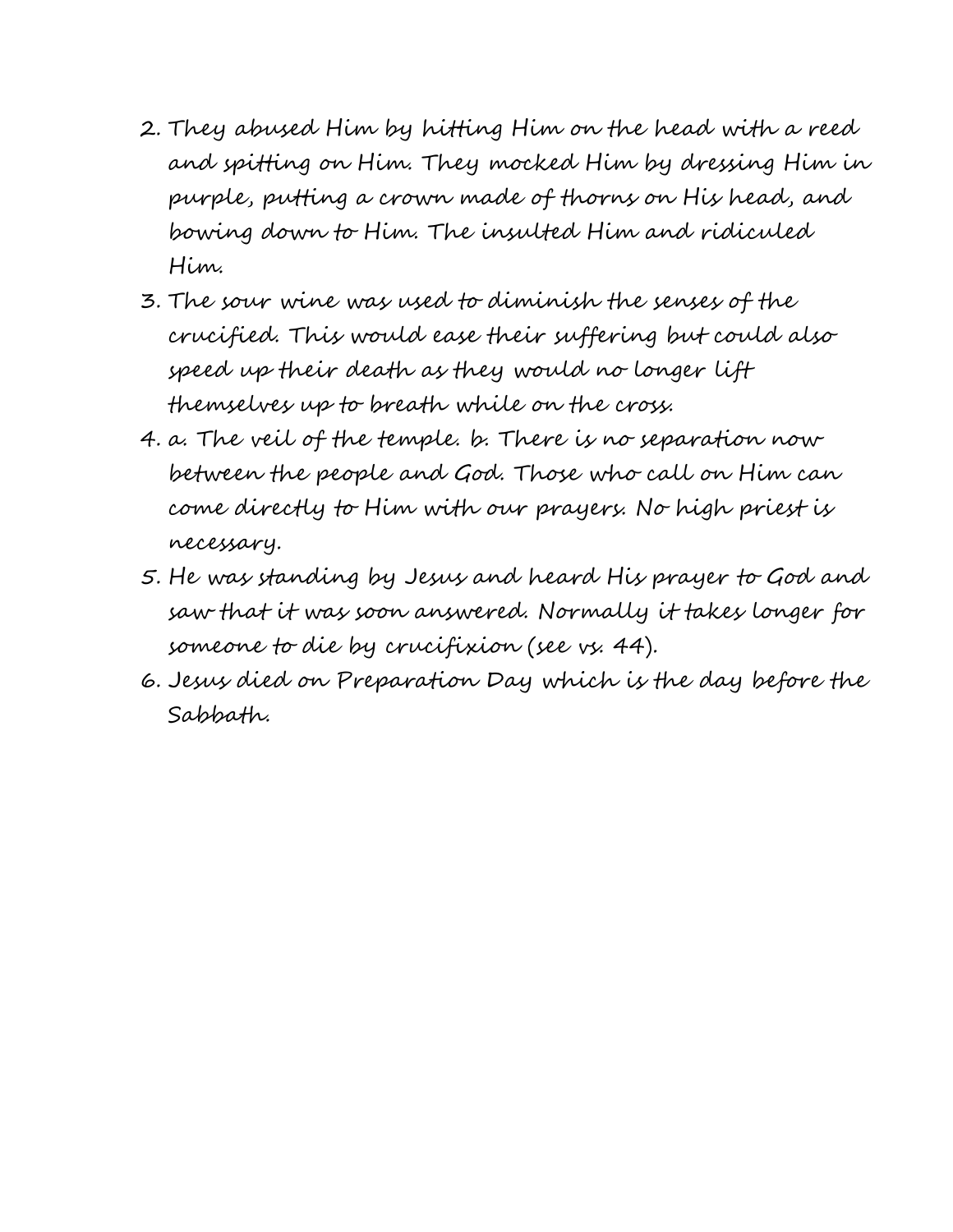- 2. They abused Him by hitting Him on the head with a reed and spitting on Him. They mocked Him by dressing Him in purple, putting a crown made of thorns on His head, and bowing down to Him. The insulted Him and ridiculed Him.
- 3. The sour wine was used to diminish the senses of the crucified. This would ease their suffering but could also speed up their death as they would no longer lift themselves up to breath while on the cross.
- 4. a. The veil of the temple. b. There is no separation now between the people and God. Those who call on Him can come directly to Him with our prayers. No high priest is necessary.
- 5. He was standing by Jesus and heard His prayer to God and saw that it was soon answered. Normally it takes longer for someone to die by crucifixion (see vs. 44).
- 6. Jesus died on Preparation Day which is the day before the Sabbath.